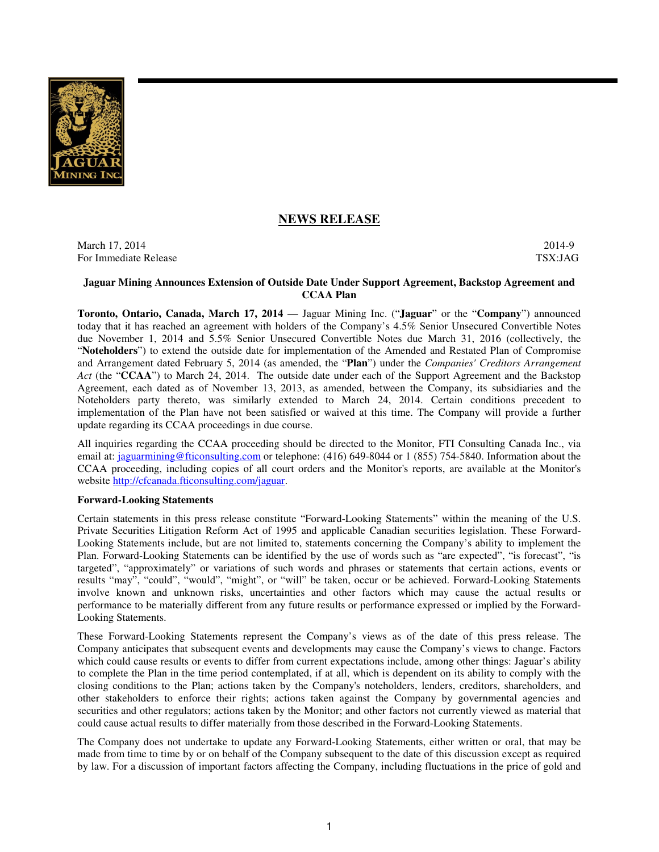

# **NEWS RELEASE**

March 17, 2014 2014-9 For Immediate Release TSX:JAG

## **Jaguar Mining Announces Extension of Outside Date Under Support Agreement, Backstop Agreement and CCAA Plan**

**Toronto, Ontario, Canada, March 17, 2014** — Jaguar Mining Inc. ("**Jaguar**" or the "**Company**") announced today that it has reached an agreement with holders of the Company's 4.5% Senior Unsecured Convertible Notes due November 1, 2014 and 5.5% Senior Unsecured Convertible Notes due March 31, 2016 (collectively, the "**Noteholders**") to extend the outside date for implementation of the Amended and Restated Plan of Compromise and Arrangement dated February 5, 2014 (as amended, the "**Plan**") under the *Companies' Creditors Arrangement Act* (the "**CCAA**") to March 24, 2014. The outside date under each of the Support Agreement and the Backstop Agreement, each dated as of November 13, 2013, as amended, between the Company, its subsidiaries and the Noteholders party thereto, was similarly extended to March 24, 2014. Certain conditions precedent to implementation of the Plan have not been satisfied or waived at this time. The Company will provide a further update regarding its CCAA proceedings in due course.

All inquiries regarding the CCAA proceeding should be directed to the Monitor, FTI Consulting Canada Inc., via email at: jaguarmining@fticonsulting.com or telephone: (416) 649-8044 or 1 (855) 754-5840. Information about the CCAA proceeding, including copies of all court orders and the Monitor's reports, are available at the Monitor's website http://cfcanada.fticonsulting.com/jaguar.

#### **Forward-Looking Statements**

Certain statements in this press release constitute "Forward-Looking Statements" within the meaning of the U.S. Private Securities Litigation Reform Act of 1995 and applicable Canadian securities legislation. These Forward-Looking Statements include, but are not limited to, statements concerning the Company's ability to implement the Plan. Forward-Looking Statements can be identified by the use of words such as "are expected", "is forecast", "is targeted", "approximately" or variations of such words and phrases or statements that certain actions, events or results "may", "could", "would", "might", or "will" be taken, occur or be achieved. Forward-Looking Statements involve known and unknown risks, uncertainties and other factors which may cause the actual results or performance to be materially different from any future results or performance expressed or implied by the Forward-Looking Statements.

These Forward-Looking Statements represent the Company's views as of the date of this press release. The Company anticipates that subsequent events and developments may cause the Company's views to change. Factors which could cause results or events to differ from current expectations include, among other things: Jaguar's ability to complete the Plan in the time period contemplated, if at all, which is dependent on its ability to comply with the closing conditions to the Plan; actions taken by the Company's noteholders, lenders, creditors, shareholders, and other stakeholders to enforce their rights; actions taken against the Company by governmental agencies and securities and other regulators; actions taken by the Monitor; and other factors not currently viewed as material that could cause actual results to differ materially from those described in the Forward-Looking Statements.

The Company does not undertake to update any Forward-Looking Statements, either written or oral, that may be made from time to time by or on behalf of the Company subsequent to the date of this discussion except as required by law. For a discussion of important factors affecting the Company, including fluctuations in the price of gold and